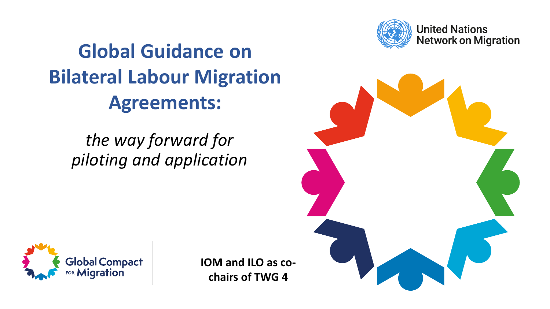

**United Nations Network on Migration** 

## **Global Guidance on Bilateral Labour Migration Agreements:**

*the way forward for piloting and application* 



**IOM and ILO as cochairs of TWG 4**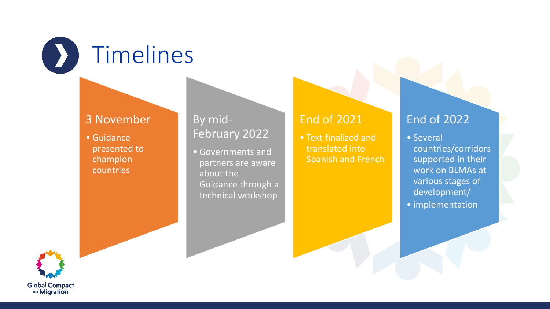

#### 3 November

• Guidance presented to champion countries

#### By mid-February 2022

• Governments and partners are aware about the Guidance through a technical workshop

#### End of 2021

• Text finalized and translated into Spanish and French

#### End of 2022

• Several countries/corridors supported in their work on BLMAs at various stages of development/ • implementation

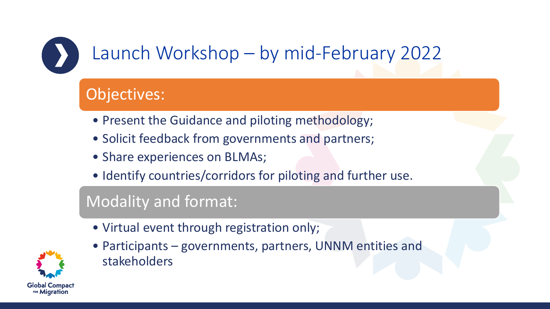# Launch Workshop – by mid-February 2022

## Objectives:

- Present the Guidance and piloting methodology;
- Solicit feedback from governments and partners;
- Share experiences on BLMAs;
- Identify countries/corridors for piloting and further use.

### Modality and format:



- Virtual event through registration only;
- Participants governments, partners, UNNM entities and stakeholders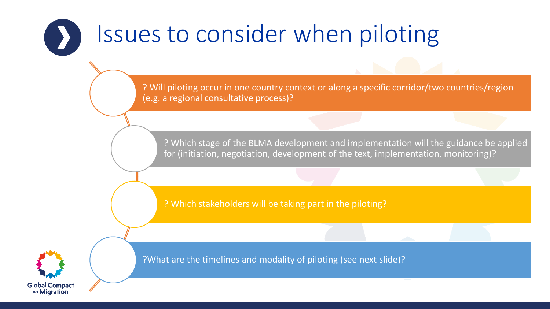# Issues to consider when piloting

? Will piloting occur in one country context or along a specific corridor/two countries/region (e.g. a regional consultative process)?

? Which stage of the BLMA development and implementation will the guidance be applied for (initiation, negotiation, development of the text, implementation, monitoring)?

? Which stakeholders will be taking part in the piloting?



?What are the timelines and modality of piloting (see next slide)?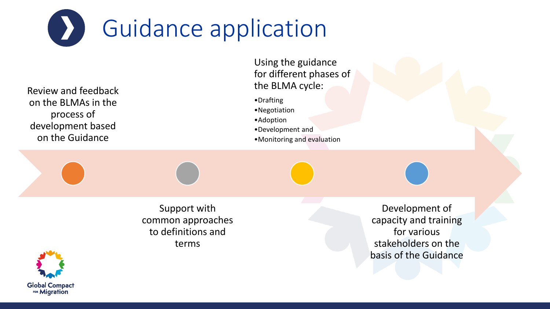

Review and feedback on the BLMAs in the process of development based on the Guidance

Using the guidance for different phases of the BLMA cycle:

- •Drafting
- •Negotiation
- •Adoption
- •Development and
- •Monitoring and evaluation

Support with common approaches to definitions and terms

Development of capacity and training for various stakeholders on the basis of the Guidance

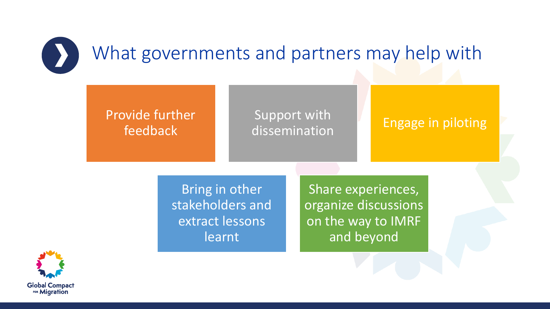